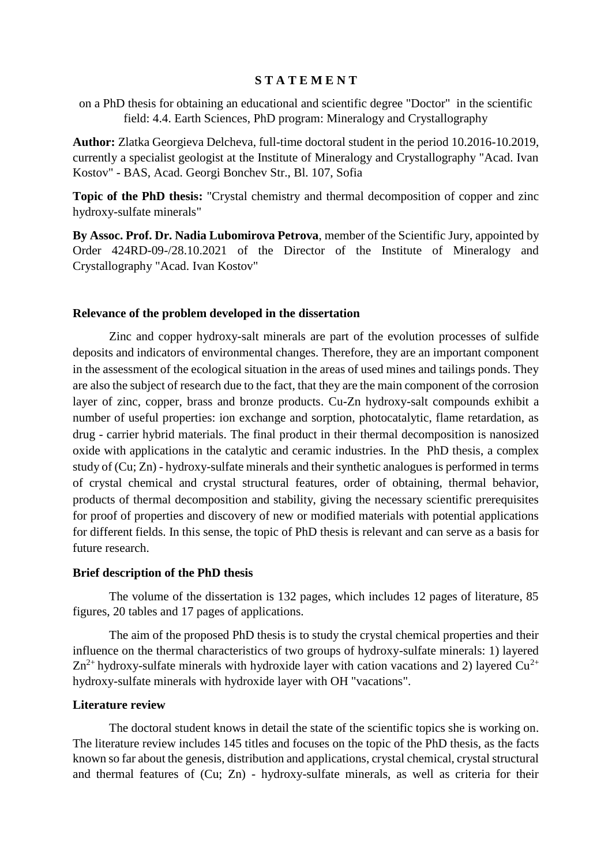# **S T A T E M E N T**

on a PhD thesis for obtaining an educational and scientific degree "Doctor" in the scientific field: 4.4. Earth Sciences, PhD program: Mineralogy and Crystallography

**Author:** Zlatka Georgieva Delcheva, full-time doctoral student in the period 10.2016-10.2019, currently a specialist geologist at the Institute of Mineralogy and Crystallography "Acad. Ivan Kostov" - BAS, Acad. Georgi Bonchev Str., Bl. 107, Sofia

**Topic of the PhD thesis:** "Crystal chemistry and thermal decomposition of copper and zinc hydroxy-sulfate minerals"

**By Assoc. Prof. Dr. Nadia Lubomirova Petrova**, member of the Scientific Jury, appointed by Order 424RD-09-/28.10.2021 of the Director of the Institute of Mineralogy and Crystallography "Acad. Ivan Kostov"

#### **Relevance of the problem developed in the dissertation**

Zinc and copper hydroxy-salt minerals are part of the evolution processes of sulfide deposits and indicators of environmental changes. Therefore, they are an important component in the assessment of the ecological situation in the areas of used mines and tailings ponds. They are also the subject of research due to the fact, that they are the main component of the corrosion layer of zinc, copper, brass and bronze products. Cu-Zn hydroxy-salt compounds exhibit a number of useful properties: ion exchange and sorption, photocatalytic, flame retardation, as drug - carrier hybrid materials. The final product in their thermal decomposition is nanosized oxide with applications in the catalytic and ceramic industries. In the PhD thesis, a complex study of (Cu; Zn) - hydroxy-sulfate minerals and their synthetic analogues is performed in terms of crystal chemical and crystal structural features, order of obtaining, thermal behavior, products of thermal decomposition and stability, giving the necessary scientific prerequisites for proof of properties and discovery of new or modified materials with potential applications for different fields. In this sense, the topic of PhD thesis is relevant and can serve as a basis for future research.

#### **Brief description of the PhD thesis**

The volume of the dissertation is 132 pages, which includes 12 pages of literature, 85 figures, 20 tables and 17 pages of applications.

The aim of the proposed PhD thesis is to study the crystal chemical properties and their influence on the thermal characteristics of two groups of hydroxy-sulfate minerals: 1) layered  $Zn^{2+}$  hydroxy-sulfate minerals with hydroxide layer with cation vacations and 2) layered Cu<sup>2+</sup> hydroxy-sulfate minerals with hydroxide layer with OH "vacations".

### **Literature review**

The doctoral student knows in detail the state of the scientific topics she is working on. The literature review includes 145 titles and focuses on the topic of the PhD thesis, as the facts known so far about the genesis, distribution and applications, crystal chemical, crystal structural and thermal features of (Cu; Zn) - hydroxy-sulfate minerals, as well as criteria for their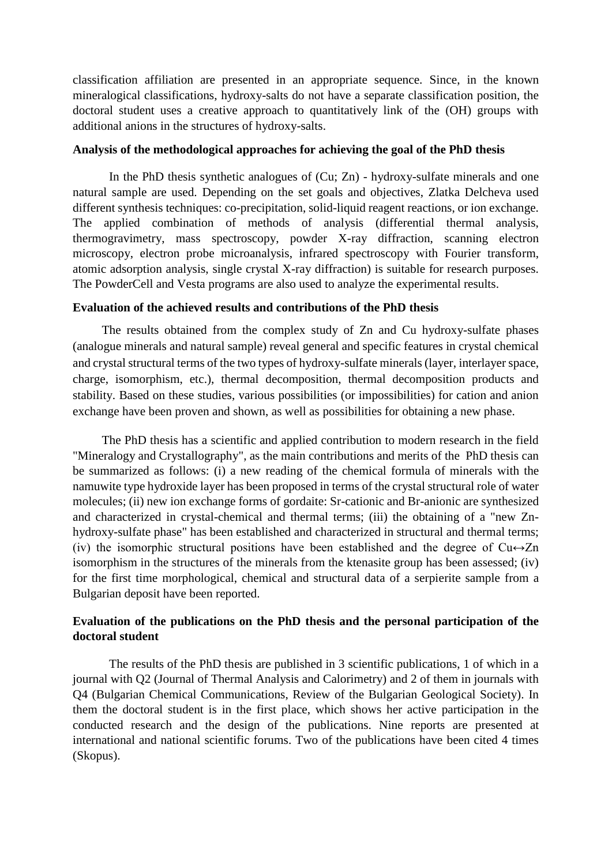classification affiliation are presented in an appropriate sequence. Since, in the known mineralogical classifications, hydroxy-salts do not have a separate classification position, the doctoral student uses a creative approach to quantitatively link of the (OH) groups with additional anions in the structures of hydroxy-salts.

# **Analysis of the methodological approaches for achieving the goal of the PhD thesis**

In the PhD thesis synthetic analogues of (Cu; Zn) - hydroxy-sulfate minerals and one natural sample are used. Depending on the set goals and objectives, Zlatka Delcheva used different synthesis techniques: co-precipitation, solid-liquid reagent reactions, or ion exchange. The applied combination of methods of analysis (differential thermal analysis, thermogravimetry, mass spectroscopy, powder X-ray diffraction, scanning electron microscopy, electron probe microanalysis, infrared spectroscopy with Fourier transform, atomic adsorption analysis, single crystal X-ray diffraction) is suitable for research purposes. The PowderCell and Vesta programs are also used to analyze the experimental results.

# **Evaluation of the achieved results and contributions of the PhD thesis**

The results obtained from the complex study of Zn and Cu hydroxy-sulfate phases (analogue minerals and natural sample) reveal general and specific features in crystal chemical and crystal structural terms of the two types of hydroxy-sulfate minerals (layer, interlayer space, charge, isomorphism, etc.), thermal decomposition, thermal decomposition products and stability. Based on these studies, various possibilities (or impossibilities) for cation and anion exchange have been proven and shown, as well as possibilities for obtaining a new phase.

The PhD thesis has a scientific and applied contribution to modern research in the field "Mineralogy and Crystallography", as the main contributions and merits of the PhD thesis can be summarized as follows: (i) a new reading of the chemical formula of minerals with the namuwite type hydroxide layer has been proposed in terms of the crystal structural role of water molecules; (ii) new ion exchange forms of gordaite: Sr-cationic and Br-anionic are synthesized and characterized in crystal-chemical and thermal terms; (iii) the obtaining of a "new Znhydroxy-sulfate phase" has been established and characterized in structural and thermal terms; (iv) the isomorphic structural positions have been established and the degree of  $Cu \leftrightarrow Zn$ isomorphism in the structures of the minerals from the ktenasite group has been assessed; (iv) for the first time morphological, chemical and structural data of a serpierite sample from a Bulgarian deposit have been reported.

# **Evaluation of the publications on the PhD thesis and the personal participation of the doctoral student**

The results of the PhD thesis are published in 3 scientific publications, 1 of which in a journal with Q2 (Journal of Thermal Analysis and Calorimetry) and 2 of them in journals with Q4 (Bulgarian Chemical Communications, Review of the Bulgarian Geological Society). In them the doctoral student is in the first place, which shows her active participation in the conducted research and the design of the publications. Nine reports are presented at international and national scientific forums. Two of the publications have been cited 4 times (Skopus).